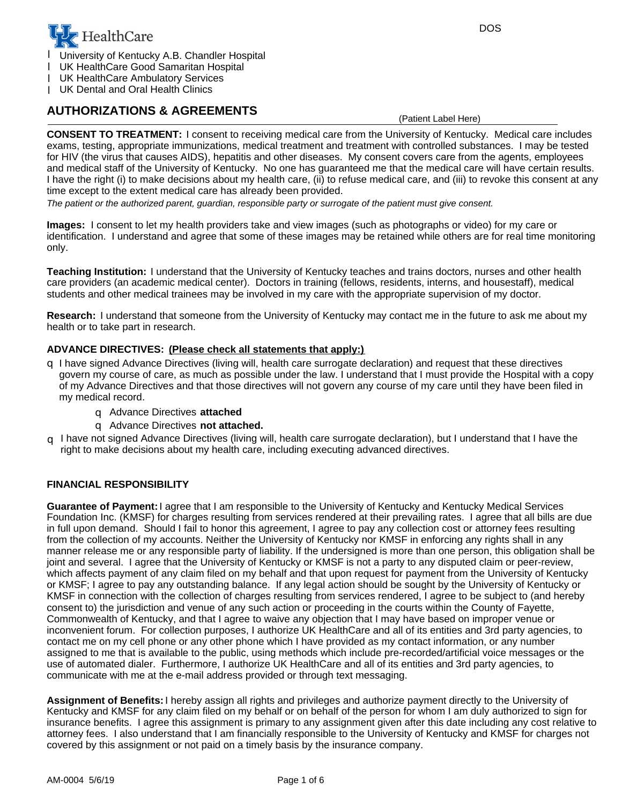

University of Kentucky A.B. Chandler Hospital l

UK HealthCare Good Samaritan Hospital l

UK HealthCare Ambulatory Services l

UK Dental and Oral Health Clinics l

## **AUTHORIZATIONS & AGREEMENTS**

(Patient Label Here)

**CONSENT TO TREATMENT:** I consent to receiving medical care from the University of Kentucky. Medical care includes exams, testing, appropriate immunizations, medical treatment and treatment with controlled substances. I may be tested for HIV (the virus that causes AIDS), hepatitis and other diseases. My consent covers care from the agents, employees and medical staff of the University of Kentucky. No one has guaranteed me that the medical care will have certain results. I have the right (i) to make decisions about my health care, (ii) to refuse medical care, and (iii) to revoke this consent at any time except to the extent medical care has already been provided.

*The patient or the authorized parent, guardian, responsible party or surrogate of the patient must give consent.*

**Images:** I consent to let my health providers take and view images (such as photographs or video) for my care or identification. I understand and agree that some of these images may be retained while others are for real time monitoring only.

Teaching Institution: I understand that the University of Kentucky teaches and trains doctors, nurses and other health care providers (an academic medical center). Doctors in training (fellows, residents, interns, and housestaff), medical students and other medical trainees may be involved in my care with the appropriate supervision of my doctor.

**Research:** I understand that someone from the University of Kentucky may contact me in the future to ask me about my health or to take part in research.

### **ADVANCE DIRECTIVES: (Please check all statements that apply:)**

- I have signed Advance Directives (living will, health care surrogate declaration) and request that these directives q govern my course of care, as much as possible under the law. I understand that I must provide the Hospital with a copy of my Advance Directives and that those directives will not govern any course of my care until they have been filed in my medical record.
	- Advance Directives q **attached**
	- Advance Directives q **not attached.**
- I have not signed Advance Directives (living will, health care surrogate declaration), but I understand that I have the right to make decisions about my health care, including executing advanced directives. q

#### **FINANCIAL RESPONSIBILITY**

Guarantee of Payment: I agree that I am responsible to the University of Kentucky and Kentucky Medical Services Foundation Inc. (KMSF) for charges resulting from services rendered at their prevailing rates. I agree that all bills are due in full upon demand. Should I fail to honor this agreement, I agree to pay any collection cost or attorney fees resulting from the collection of my accounts. Neither the University of Kentucky nor KMSF in enforcing any rights shall in any manner release me or any responsible party of liability. If the undersigned is more than one person, this obligation shall be joint and several. I agree that the University of Kentucky or KMSF is not a party to any disputed claim or peer-review, which affects payment of any claim filed on my behalf and that upon request for payment from the University of Kentucky or KMSF; I agree to pay any outstanding balance. If any legal action should be sought by the University of Kentucky or KMSF in connection with the collection of charges resulting from services rendered, I agree to be subject to (and hereby consent to) the jurisdiction and venue of any such action or proceeding in the courts within the County of Fayette, Commonwealth of Kentucky, and that I agree to waive any objection that I may have based on improper venue or inconvenient forum. For collection purposes, I authorize UK HealthCare and all of its entities and 3rd party agencies, to contact me on my cell phone or any other phone which I have provided as my contact information, or any number assigned to me that is available to the public, using methods which include pre-recorded/artificial voice messages or the use of automated dialer. Furthermore, I authorize UK HealthCare and all of its entities and 3rd party agencies, to communicate with me at the e-mail address provided or through text messaging.

Assignment of Benefits: I hereby assign all rights and privileges and authorize payment directly to the University of Kentucky and KMSF for any claim filed on my behalf or on behalf of the person for whom I am duly authorized to sign for insurance benefits. I agree this assignment is primary to any assignment given after this date including any cost relative to attorney fees. I also understand that I am financially responsible to the University of Kentucky and KMSF for charges not covered by this assignment or not paid on a timely basis by the insurance company.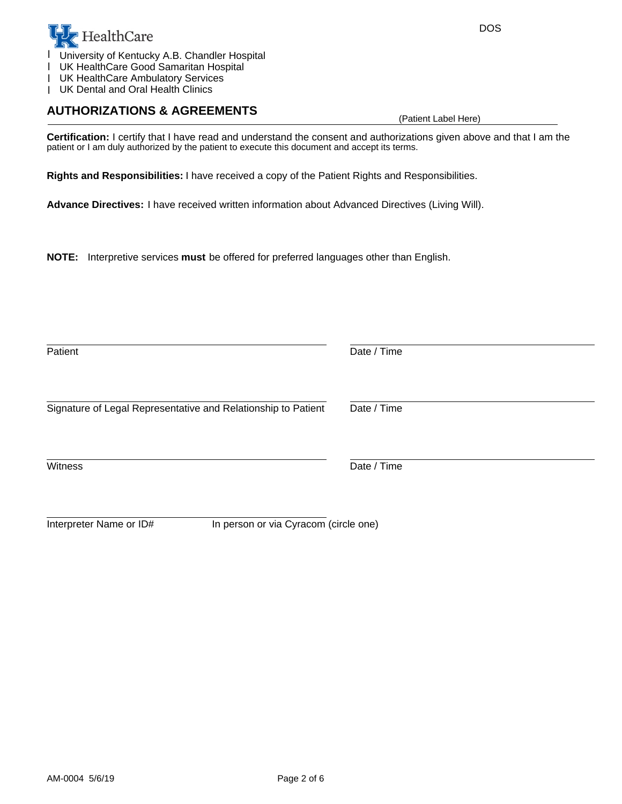

University of Kentucky A.B. Chandler Hospital

UK HealthCare Good Samaritan Hospital l

UK HealthCare Ambulatory Services l

UK Dental and Oral Health Clinics l

## **AUTHORIZATIONS & AGREEMENTS**

(Patient Label Here)

**Certification:** I certify that I have read and understand the consent and authorizations given above and that I am the patient or I am duly authorized by the patient to execute this document and accept its terms.

**Rights and Responsibilities:** I have received a copy of the Patient Rights and Responsibilities.

Advance Directives: I have received written information about Advanced Directives (Living Will).

**NOTE:** Interpretive services **must** be offered for preferred languages other than English.

| Patient                                                          | Date / Time |
|------------------------------------------------------------------|-------------|
| Signature of Legal Representative and Relationship to Patient    | Date / Time |
| Witness                                                          | Date / Time |
| In person or via Cyracom (circle one)<br>Interpreter Name or ID# |             |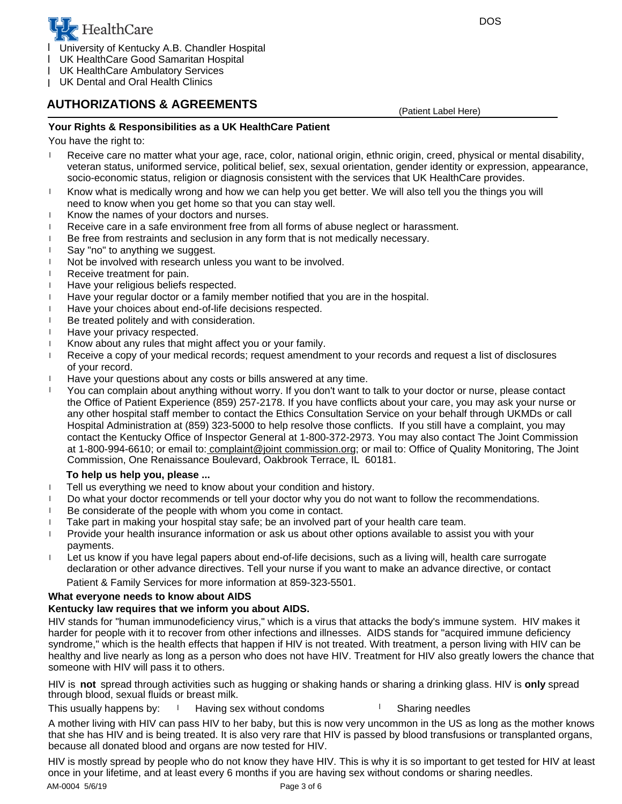

- 1 University of Kentucky A.B. Chandler Hospital
- UK HealthCare Good Samaritan Hospital l
- UK HealthCare Ambulatory Services l
- UK Dental and Oral Health Clinics l

# **AUTHORIZATIONS & AGREEMENTS**

(Patient Label Here)

### **Your Rights & Responsibilities as a UK HealthCare Patient**

You have the right to:

- Receive care no matter what your age, race, color, national origin, ethnic origin, creed, physical or mental disability, veteran status, uniformed service, political belief, sex, sexual orientation, gender identity or expression, appearance, socio-economic status, religion or diagnosis consistent with the services that UK HealthCare provides. l
- need to know when you get home so that you can stay well. <sup>l</sup> Know what is medically wrong and how we can help you get better. We will also tell you the things you will
- 1 Know the names of your doctors and nurses.
- <sup>l</sup> Receive care in a safe environment free from all forms of abuse neglect or harassment.
- <sup>l</sup> Be free from restraints and seclusion in any form that is not medically necessary.
- 1 Say "no" to anything we suggest.
- Not be involved with research unless you want to be involved. l
- l Receive treatment for pain.
- 1 Have your religious beliefs respected.
- Have your regular doctor or a family member notified that you are in the hospital. l
- l Have your choices about end-of-life decisions respected.
- Be treated politely and with consideration. l
- <sup>l</sup> Have your privacy respected.
- 1 Know about any rules that might affect you or your family.
- Receive a copy of your medical records; request amendment to your records and request a list of disclosures of your record. l
- <sup>1</sup> Have your questions about any costs or bills answered at any time.
- at 1-800-994-6610; or email to: complaint@joint commission.org; or mail to: Office of Quality Monitoring, The Joint Commission, One Renaissance Boulevard, Oakbrook Terrace, IL 60181. contact the Kentucky Office of Inspector General at 1-800-372-2973. You may also contact The Joint Commission any other hospital staff member to contact the Ethics Consultation Service on your behalf through UKMDs or call Hospital Administration at (859) 323-5000 to help resolve those conflicts. If you still have a complaint, you may You can complain about anything without worry. If you don't want to talk to your doctor or nurse, please contact the Office of Patient Experience (859) 257-2178. If you have conflicts about your care, you may ask your nurse or l

### **To help us help you, please ...**

- <sup>l</sup> Tell us everything we need to know about your condition and history.
- 1 Do what your doctor recommends or tell your doctor why you do not want to follow the recommendations.
- Be considerate of the people with whom you come in contact. l
- l Take part in making your hospital stay safe; be an involved part of your health care team.
- payments. Provide your health insurance information or ask us about other options available to assist you with your l
- l Let us know if you have legal papers about end-of-life decisions, such as a living will, health care surrogate declaration or other advance directives. Tell your nurse if you want to make an advance directive, or contact Patient & Family Services for more information at 859-323-5501.

### **What everyone needs to know about AIDS**

### **Kentucky law requires that we inform you about AIDS.**

HIV stands for "human immunodeficiency virus," which is a virus that attacks the body's immune system. HIV makes it harder for people with it to recover from other infections and illnesses. AIDS stands for "acquired immune deficiency syndrome," which is the health effects that happen if HIV is not treated. With treatment, a person living with HIV can be healthy and live nearly as long as a person who does not have HIV. Treatment for HIV also greatly lowers the chance that someone with HIV will pass it to others.

HIV is **not** spread through activities such as hugging or shaking hands or sharing a drinking glass. HIV is **only** spread through blood, sexual fluids or breast milk.

 $\frac{1}{1}$  Having sex without condoms  $\frac{1}{1}$  Sharing needles This usually happens by:

A mother living with HIV can pass HIV to her baby, but this is now very uncommon in the US as long as the mother knows that she has HIV and is being treated. It is also very rare that HIV is passed by blood transfusions or transplanted organs, because all donated blood and organs are now tested for HIV.

HIV is mostly spread by people who do not know they have HIV. This is why it is so important to get tested for HIV at least once in your lifetime, and at least every 6 months if you are having sex without condoms or sharing needles.

AM-0004 5/6/19 Page 3 of 6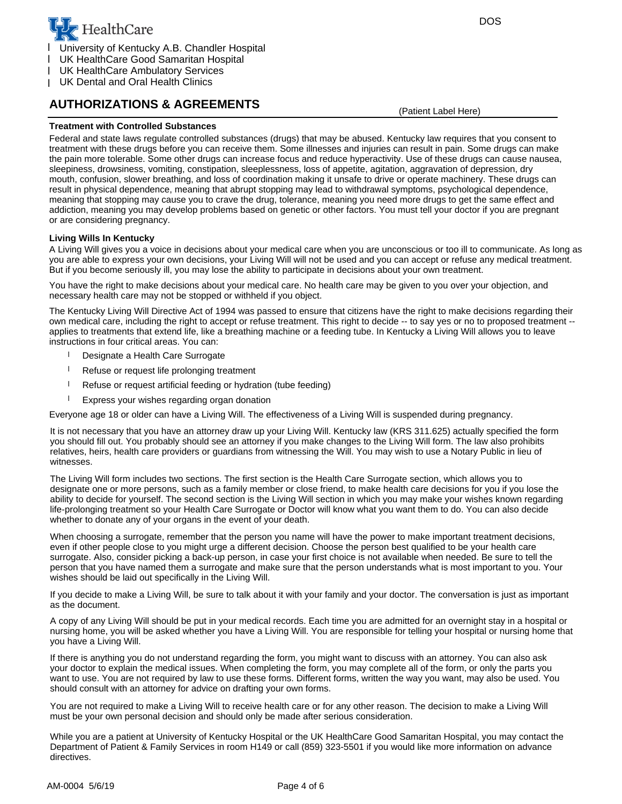

- 1 University of Kentucky A.B. Chandler Hospital
- UK HealthCare Good Samaritan Hospital l
- UK HealthCare Ambulatory Services l
- UK Dental and Oral Health Clinics l

## **AUTHORIZATIONS & AGREEMENTS**

(Patient Label Here)

#### **Treatment with Controlled Substances**

Federal and state laws regulate controlled substances (drugs) that may be abused. Kentucky law requires that you consent to treatment with these drugs before you can receive them. Some illnesses and injuries can result in pain. Some drugs can make the pain more tolerable. Some other drugs can increase focus and reduce hyperactivity. Use of these drugs can cause nausea, sleepiness, drowsiness, vomiting, constipation, sleeplessness, loss of appetite, agitation, aggravation of depression, dry mouth, confusion, slower breathing, and loss of coordination making it unsafe to drive or operate machinery. These drugs can result in physical dependence, meaning that abrupt stopping may lead to withdrawal symptoms, psychological dependence, meaning that stopping may cause you to crave the drug, tolerance, meaning you need more drugs to get the same effect and addiction, meaning you may develop problems based on genetic or other factors. You must tell your doctor if you are pregnant or are considering pregnancy.

#### **Living Wills In Kentucky**

A Living Will gives you a voice in decisions about your medical care when you are unconscious or too ill to communicate. As long as you are able to express your own decisions, your Living Will will not be used and you can accept or refuse any medical treatment. But if you become seriously ill, you may lose the ability to participate in decisions about your own treatment.

You have the right to make decisions about your medical care. No health care may be given to you over your objection, and necessary health care may not be stopped or withheld if you object.

The Kentucky Living Will Directive Act of 1994 was passed to ensure that citizens have the right to make decisions regarding their own medical care, including the right to accept or refuse treatment. This right to decide -- to say yes or no to proposed treatment - applies to treatments that extend life, like a breathing machine or a feeding tube. In Kentucky a Living Will allows you to leave instructions in four critical areas. You can:

- Designate a Health Care Surrogate l
- Refuse or request life prolonging treatment l
- Refuse or request artificial feeding or hydration (tube feeding) l
- Express your wishes regarding organ donation l

Everyone age 18 or older can have a Living Will. The effectiveness of a Living Will is suspended during pregnancy.

It is not necessary that you have an attorney draw up your Living Will. Kentucky law (KRS 311.625) actually specified the form you should fill out. You probably should see an attorney if you make changes to the Living Will form. The law also prohibits relatives, heirs, health care providers or guardians from witnessing the Will. You may wish to use a Notary Public in lieu of witnesses.

The Living Will form includes two sections. The first section is the Health Care Surrogate section, which allows you to designate one or more persons, such as a family member or close friend, to make health care decisions for you if you lose the ability to decide for yourself. The second section is the Living Will section in which you may make your wishes known regarding life-prolonging treatment so your Health Care Surrogate or Doctor will know what you want them to do. You can also decide whether to donate any of your organs in the event of your death.

When choosing a surrogate, remember that the person you name will have the power to make important treatment decisions, even if other people close to you might urge a different decision. Choose the person best qualified to be your health care surrogate. Also, consider picking a back-up person, in case your first choice is not available when needed. Be sure to tell the person that you have named them a surrogate and make sure that the person understands what is most important to you. Your wishes should be laid out specifically in the Living Will.

If you decide to make a Living Will, be sure to talk about it with your family and your doctor. The conversation is just as important as the document.

A copy of any Living Will should be put in your medical records. Each time you are admitted for an overnight stay in a hospital or nursing home, you will be asked whether you have a Living Will. You are responsible for telling your hospital or nursing home that you have a Living Will.

If there is anything you do not understand regarding the form, you might want to discuss with an attorney. You can also ask your doctor to explain the medical issues. When completing the form, you may complete all of the form, or only the parts you want to use. You are not required by law to use these forms. Different forms, written the way you want, may also be used. You should consult with an attorney for advice on drafting your own forms.

You are not required to make a Living Will to receive health care or for any other reason. The decision to make a Living Will must be your own personal decision and should only be made after serious consideration.

While you are a patient at University of Kentucky Hospital or the UK HealthCare Good Samaritan Hospital, you may contact the Department of Patient & Family Services in room H149 or call (859) 323-5501 if you would like more information on advance directives.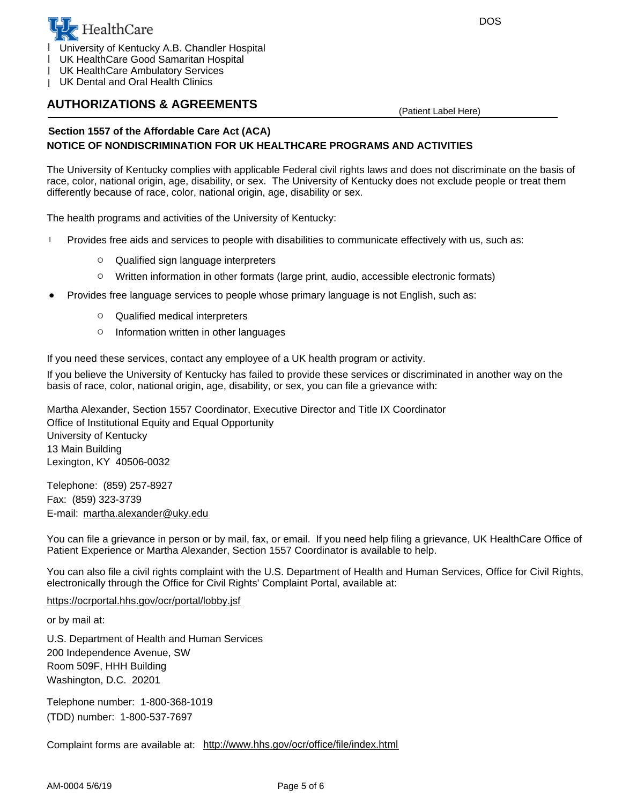

- 1 University of Kentucky A.B. Chandler Hospital
- UK HealthCare Good Samaritan Hospital l
- UK HealthCare Ambulatory Services l
- UK Dental and Oral Health Clinics l

## **AUTHORIZATIONS & AGREEMENTS**

(Patient Label Here)

### **Section 1557 of the Affordable Care Act (ACA) NOTICE OF NONDISCRIMINATION FOR UK HEALTHCARE PROGRAMS AND ACTIVITIES**

The University of Kentucky complies with applicable Federal civil rights laws and does not discriminate on the basis of race, color, national origin, age, disability, or sex. The University of Kentucky does not exclude people or treat them differently because of race, color, national origin, age, disability or sex.

The health programs and activities of the University of Kentucky:

- <sup>l</sup> Provides free aids and services to people with disabilities to communicate effectively with us, such as:
	- $\circ$  Qualified sign language interpreters
	- $\circ$  Written information in other formats (large print, audio, accessible electronic formats)
- Provides free language services to people whose primary language is not English, such as:
	- $\circ$  Qualified medical interpreters
	- $\circ$  Information written in other languages

If you need these services, contact any employee of a UK health program or activity.

If you believe the University of Kentucky has failed to provide these services or discriminated in another way on the basis of race, color, national origin, age, disability, or sex, you can file a grievance with:

13 Main Building University of Kentucky Office of Institutional Equity and Equal Opportunity Martha Alexander, Section 1557 Coordinator, Executive Director and Title IX Coordinator Lexington, KY 40506-0032

Telephone: (859) 257-8927 E-mail: martha.alexander@uky.edu Fax: (859) 323-3739

You can file a grievance in person or by mail, fax, or email. If you need help filing a grievance, UK HealthCare Office of Patient Experience or Martha Alexander, Section 1557 Coordinator is available to help.

You can also file a civil rights complaint with the U.S. Department of Health and Human Services, Office for Civil Rights, electronically through the Office for Civil Rights' Complaint Portal, available at:

https://ocrportal.hhs.gov/ocr/portal/lobby.jsf

or by mail at:

Room 509F, HHH Building 200 Independence Avenue, SW U.S. Department of Health and Human Services Washington, D.C. 20201

Telephone number: 1-800-368-1019 (TDD) number: 1-800-537-7697

Complaint forms are available at: http://www.hhs.gov/ocr/office/file/index.html